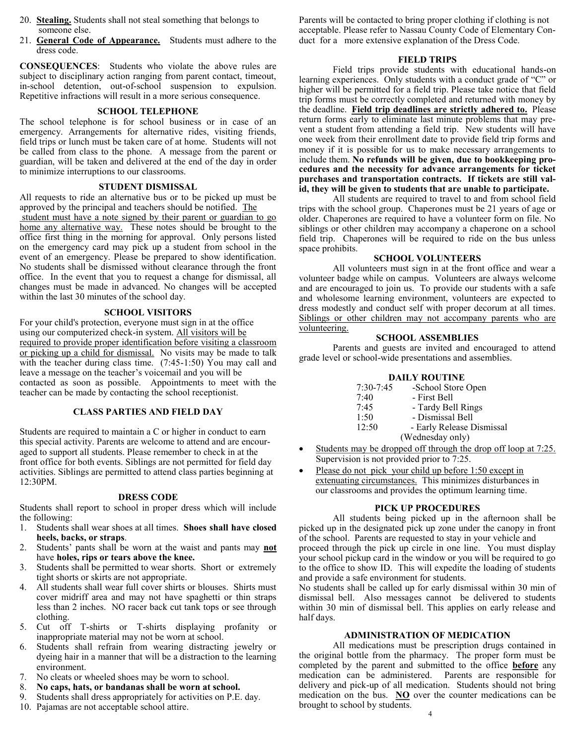- 20. **Stealing.** Students shall not steal something that belongs to someone else.
- 21. **General Code of Appearance.** Students must adhere to the dress code.

**CONSEQUENCES**: Students who violate the above rules are subject to disciplinary action ranging from parent contact, timeout, in-school detention, out-of-school suspension to expulsion. Repetitive infractions will result in a more serious consequence.

# **SCHOOL TELEPHONE**

The school telephone is for school business or in case of an emergency. Arrangements for alternative rides, visiting friends, field trips or lunch must be taken care of at home. Students will not be called from class to the phone. A message from the parent or guardian, will be taken and delivered at the end of the day in order to minimize interruptions to our classrooms.

# **STUDENT DISMISSAL**

All requests to ride an alternative bus or to be picked up must be approved by the principal and teachers should be notified. The student must have a note signed by their parent or guardian to go home any alternative way. These notes should be brought to the office first thing in the morning for approval. Only persons listed on the emergency card may pick up a student from school in the event of an emergency. Please be prepared to show identification. No students shall be dismissed without clearance through the front office. In the event that you to request a change for dismissal, all changes must be made in advanced. No changes will be accepted within the last 30 minutes of the school day.

# **SCHOOL VISITORS**

For your child's protection, everyone must sign in at the office using our computerized check-in system. All visitors will be required to provide proper identification before visiting a classroom or picking up a child for dismissal. No visits may be made to talk with the teacher during class time. (7:45-1:50) You may call and leave a message on the teacher's voicemail and you will be contacted as soon as possible. Appointments to meet with the teacher can be made by contacting the school receptionist.

# **CLASS PARTIES AND FIELD DAY**

Students are required to maintain a C or higher in conduct to earn this special activity. Parents are welcome to attend and are encouraged to support all students. Please remember to check in at the front office for both events. Siblings are not permitted for field day activities. Siblings are permitted to attend class parties beginning at 12:30PM.

# **DRESS CODE**

Students shall report to school in proper dress which will include the following:

- 1. Students shall wear shoes at all times. **Shoes shall have closed heels, backs, or straps**.
- 2. Students' pants shall be worn at the waist and pants may **not** have **holes, rips or tears above the knee.**
- 3. Students shall be permitted to wear shorts. Short or extremely tight shorts or skirts are not appropriate.
- 4. All students shall wear full cover shirts or blouses. Shirts must cover midriff area and may not have spaghetti or thin straps less than 2 inches. NO racer back cut tank tops or see through clothing.
- 5. Cut off T-shirts or T-shirts displaying profanity or inappropriate material may not be worn at school.
- 6. Students shall refrain from wearing distracting jewelry or dyeing hair in a manner that will be a distraction to the learning environment.
- 7. No cleats or wheeled shoes may be worn to school.
- 8. **No caps, hats, or bandanas shall be worn at school.**
- 9. Students shall dress appropriately for activities on P.E. day.
- 10. Pajamas are not acceptable school attire.

Parents will be contacted to bring proper clothing if clothing is not acceptable. Please refer to Nassau County Code of Elementary Conduct for a more extensive explanation of the Dress Code.

# **FIELD TRIPS**

Field trips provide students with educational hands-on learning experiences. Only students with a conduct grade of "C" or higher will be permitted for a field trip. Please take notice that field trip forms must be correctly completed and returned with money by the deadline. **Field trip deadlines are strictly adhered to.** Please return forms early to eliminate last minute problems that may prevent a student from attending a field trip. New students will have one week from their enrollment date to provide field trip forms and money if it is possible for us to make necessary arrangements to include them. **No refunds will be given, due to bookkeeping procedures and the necessity for advance arrangements for ticket purchases and transportation contracts. If tickets are still valid, they will be given to students that are unable to participate.** 

All students are required to travel to and from school field trips with the school group. Chaperones must be 21 years of age or older. Chaperones are required to have a volunteer form on file. No siblings or other children may accompany a chaperone on a school field trip. Chaperones will be required to ride on the bus unless space prohibits.

# **SCHOOL VOLUNTEERS**

All volunteers must sign in at the front office and wear a volunteer badge while on campus. Volunteers are always welcome and are encouraged to join us. To provide our students with a safe and wholesome learning environment, volunteers are expected to dress modestly and conduct self with proper decorum at all times. Siblings or other children may not accompany parents who are volunteering.

# **SCHOOL ASSEMBLIES**

Parents and guests are invited and encouraged to attend grade level or school-wide presentations and assemblies.

# **DAILY ROUTINE**

| $7:30 - 7:45$ | -School Store Open        |
|---------------|---------------------------|
| 7:40          | - First Bell              |
| 7:45          | - Tardy Bell Rings        |
| 1:50          | - Dismissal Bell          |
| 12:50         | - Early Release Dismissal |
|               | (Wednesday only)          |

- Students may be dropped off through the drop off loop at 7:25. Supervision is not provided prior to 7:25.
- Please do not pick your child up before 1:50 except in extenuating circumstances. This minimizes disturbances in our classrooms and provides the optimum learning time.

# **PICK UP PROCEDURES**

All students being picked up in the afternoon shall be picked up in the designated pick up zone under the canopy in front of the school. Parents are requested to stay in your vehicle and proceed through the pick up circle in one line. You must display your school pickup card in the window or you will be required to go to the office to show ID. This will expedite the loading of students and provide a safe environment for students.

No students shall be called up for early dismissal within 30 min of dismissal bell. Also messages cannot be delivered to students within 30 min of dismissal bell. This applies on early release and half days.

# **ADMINISTRATION OF MEDICATION**

All medications must be prescription drugs contained in the original bottle from the pharmacy. The proper form must be completed by the parent and submitted to the office **before** any medication can be administered. Parents are responsible for delivery and pick-up of all medication. Students should not bring medication on the bus. **NO** over the counter medications can be brought to school by students.  $\sim$  4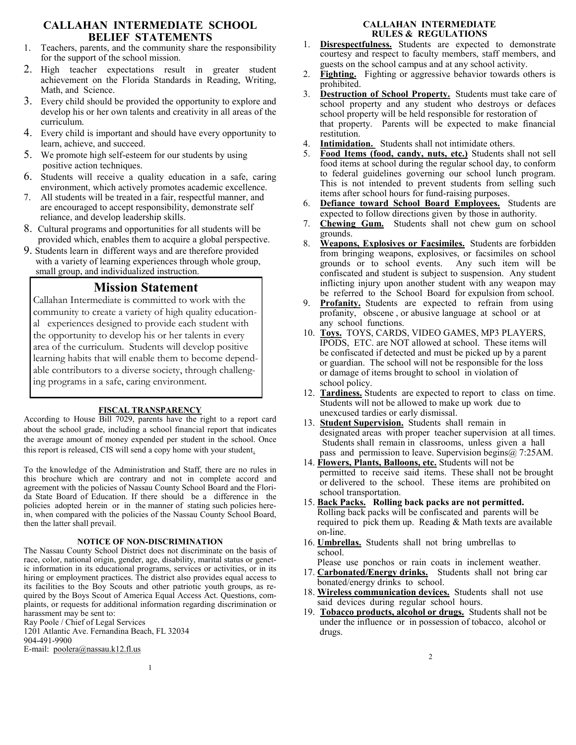# **CALLAHAN INTERMEDIATE SCHOOL BELIEF STATEMENTS**

- 1. Teachers, parents, and the community share the responsibility for the support of the school mission.
- 2. High teacher expectations result in greater student achievement on the Florida Standards in Reading, Writing, Math, and Science.
- 3. Every child should be provided the opportunity to explore and develop his or her own talents and creativity in all areas of the curriculum.
- 4. Every child is important and should have every opportunity to learn, achieve, and succeed.
- 5. We promote high self-esteem for our students by using positive action techniques.
- 6. Students will receive a quality education in a safe, caring environment, which actively promotes academic excellence.
- 7. All students will be treated in a fair, respectful manner, and are encouraged to accept responsibility, demonstrate self reliance, and develop leadership skills.
- 8. Cultural programs and opportunities for all students will be provided which, enables them to acquire a global perspective.
- 9. Students learn in different ways and are therefore provided with a variety of learning experiences through whole group, small group, and individualized instruction.

# **Mission Statement**

Callahan Intermediate is committed to work with the community to create a variety of high quality educational experiences designed to provide each student with the opportunity to develop his or her talents in every area of the curriculum. Students will develop positive learning habits that will enable them to become dependable contributors to a diverse society, through challenging programs in a safe, caring environment.

# **FISCAL TRANSPARENCY**

According to House Bill 7029, parents have the right to a report card about the school grade, including a school financial report that indicates the average amount of money expended per student in the school. Once this report is released, CIS will send a copy home with your student.

To the knowledge of the Administration and Staff, there are no rules in this brochure which are contrary and not in complete accord and agreement with the policies of Nassau County School Board and the Florida State Board of Education. If there should be a difference in the policies adopted herein or in the manner of stating such policies herein, when compared with the policies of the Nassau County School Board, then the latter shall prevail.

#### **NOTICE OF NON-DISCRIMINATION**

The Nassau County School District does not discriminate on the basis of race, color, national origin, gender, age, disability, marital status or genetic information in its educational programs, services or activities, or in its hiring or employment practices. The district also provides equal access to its facilities to the Boy Scouts and other patriotic youth groups, as required by the Boys Scout of America Equal Access Act. Questions, complaints, or requests for additional information regarding discrimination or harassment may be sent to:

1

Ray Poole / Chief of Legal Services

1201 Atlantic Ave. Fernandina Beach, FL 32034

904-491-9900

E-mail: [poolera@nassau.k12.fl.us](mailto:poolera@nassau.k12.fl.us)

# **CALLAHAN INTERMEDIATE RULES & REGULATIONS**

- 1. **Disrespectfulness.** Students are expected to demonstrate courtesy and respect to faculty members, staff members, and guests on the school campus and at any school activity.
- 2. **Fighting.** Fighting or aggressive behavior towards others is prohibited.
- 3. **Destruction of School Property.** Students must take care of school property and any student who destroys or defaces school property will be held responsible for restoration of that property. Parents will be expected to make financial restitution.
- 4. **Intimidation.** Students shall not intimidate others.
- 5. **Food Items (food, candy, nuts, etc.)** Students shall not sell food items at school during the regular school day, to conform to federal guidelines governing our school lunch program. This is not intended to prevent students from selling such items after school hours for fund-raising purposes.
- 6. **Defiance toward School Board Employees.** Students are expected to follow directions given by those in authority.
- 7. **Chewing Gum.** Students shall not chew gum on school grounds.
- 8. **Weapons, Explosives or Facsimiles.** Students are forbidden from bringing weapons, explosives, or facsimiles on school grounds or to school events. confiscated and student is subject to suspension. Any student inflicting injury upon another student with any weapon may be referred to the School Board for expulsion from school.
- 9. **Profanity.** Students are expected to refrain from using profanity, obscene , or abusive language at school or at any school functions.
- 10. **Toys.** TOYS, CARDS, VIDEO GAMES, MP3 PLAYERS, IPODS, ETC. are NOT allowed at school. These items will be confiscated if detected and must be picked up by a parent or guardian. The school will not be responsible for the loss or damage of items brought to school in violation of school policy.
- 12. **Tardiness.** Students are expected to report to class on time. Students will not be allowed to make up work due to unexcused tardies or early dismissal.
- 13. **Student Supervision.** Students shall remain in designated areas with proper teacher supervision at all times. Students shall remain in classrooms, unless given a hall pass and permission to leave. Supervision begins  $(a)$  7:25AM.
- 14. **Flowers, Plants, Balloons, etc.** Students will not be permitted to receive said items. These shall not be brought or delivered to the school. These items are prohibited on school transportation.
- 15. **Back Packs. Rolling back packs are not permitted.** Rolling back packs will be confiscated and parents will be required to pick them up. Reading & Math texts are available on-line.
- 16. **Umbrellas.** Students shall not bring umbrellas to school.
- Please use ponchos or rain coats in inclement weather.
- 17. **Carbonated/Energy drinks.** Students shall not bring car bonated/energy drinks to school.
- 18. **Wireless communication devices.** Students shall not use said devices during regular school hours.
- 19. **Tobacco products, alcohol or drugs.** Students shall not be under the influence or in possession of tobacco, alcohol or drugs.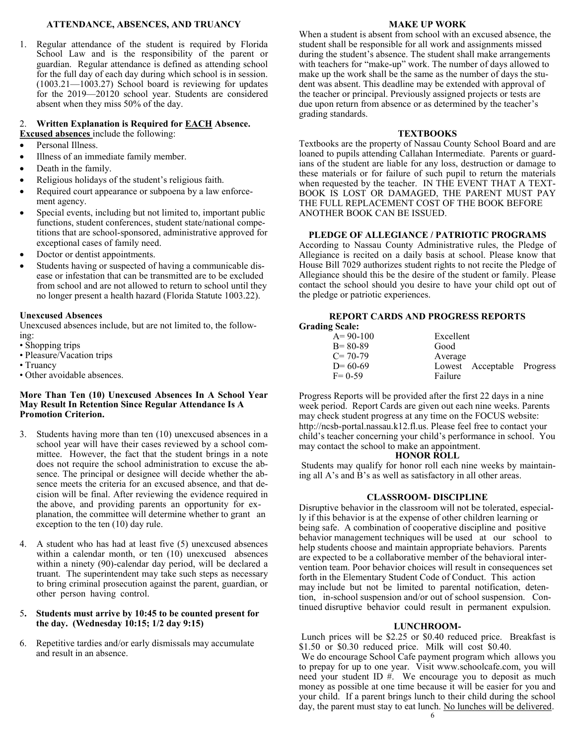#### **ATTENDANCE, ABSENCES, AND TRUANCY**

1. Regular attendance of the student is required by Florida School Law and is the responsibility of the parent or guardian. Regular attendance is defined as attending school for the full day of each day during which school is in session. (1003.21—1003.27) School board is reviewing for updates for the 2019—20120 school year. Students are considered absent when they miss 50% of the day.

# 2. **Written Explanation is Required for EACH Absence.**

- **Excused absences** include the following:
- Personal Illness.
- Illness of an immediate family member.
- Death in the family.
- Religious holidays of the student's religious faith.
- Required court appearance or subpoena by a law enforcement agency.
- Special events, including but not limited to, important public functions, student conferences, student state/national competitions that are school‐sponsored, administrative approved for exceptional cases of family need.
- Doctor or dentist appointments.
- Students having or suspected of having a communicable disease or infestation that can be transmitted are to be excluded from school and are not allowed to return to school until they no longer present a health hazard (Florida Statute 1003.22).

#### **Unexcused Absences**

Unexcused absences include, but are not limited to, the following:

- Shopping trips
- Pleasure/Vacation trips
- Truancy
- Other avoidable absences.

#### **More Than Ten (10) Unexcused Absences In A School Year May Result In Retention Since Regular Attendance Is A Promotion Criterion.**

- Students having more than ten (10) unexcused absences in a school year will have their cases reviewed by a school committee. However, the fact that the student brings in a note does not require the school administration to excuse the absence. The principal or designee will decide whether the absence meets the criteria for an excused absence, and that decision will be final. After reviewing the evidence required in the above, and providing parents an opportunity for ex planation, the committee will determine whether to grant an exception to the ten (10) day rule.
- 4. A student who has had at least five (5) unexcused absences within a calendar month, or ten (10) unexcused absences within a ninety (90)-calendar day period, will be declared a truant. The superintendent may take such steps as necessary to bring criminal prosecution against the parent, guardian, or other person having control.

#### 5**. Students must arrive by 10:45 to be counted present for the day. (Wednesday 10:15; 1/2 day 9:15)**

6. Repetitive tardies and/or early dismissals may accumulate and result in an absence.

#### **MAKE UP WORK**

When a student is absent from school with an excused absence, the student shall be responsible for all work and assignments missed during the student's absence. The student shall make arrangements with teachers for "make‐up" work. The number of days allowed to make up the work shall be the same as the number of days the student was absent. This deadline may be extended with approval of the teacher or principal. Previously assigned projects or tests are due upon return from absence or as determined by the teacher's grading standards.

#### **TEXTBOOKS**

Textbooks are the property of Nassau County School Board and are loaned to pupils attending Callahan Intermediate. Parents or guardians of the student are liable for any loss, destruction or damage to these materials or for failure of such pupil to return the materials when requested by the teacher. IN THE EVENT THAT A TEXT-BOOK IS LOST OR DAMAGED, THE PARENT MUST PAY THE FULL REPLACEMENT COST OF THE BOOK BEFORE ANOTHER BOOK CAN BE ISSUED.

#### **PLEDGE OF ALLEGIANCE / PATRIOTIC PROGRAMS**

According to Nassau County Administrative rules, the Pledge of Allegiance is recited on a daily basis at school. Please know that House Bill 7029 authorizes student rights to not recite the Pledge of Allegiance should this be the desire of the student or family. Please contact the school should you desire to have your child opt out of the pledge or patriotic experiences.

#### **REPORT CARDS AND PROGRESS REPORTS Grading Scale:**

| Excellent                  |  |
|----------------------------|--|
| Good                       |  |
| Average                    |  |
| Lowest Acceptable Progress |  |
| Failure                    |  |
|                            |  |

Progress Reports will be provided after the first 22 days in a nine week period. Report Cards are given out each nine weeks. Parents may check student progress at any time on the FOCUS website: http://ncsb-portal.nassau.k12.fl.us. Please feel free to contact your child's teacher concerning your child's performance in school. You may contact the school to make an appointment.

#### **HONOR ROLL**

Students may qualify for honor roll each nine weeks by maintaining all A's and B's as well as satisfactory in all other areas.

#### **CLASSROOM- DISCIPLINE**

Disruptive behavior in the classroom will not be tolerated, especially if this behavior is at the expense of other children learning or being safe. A combination of cooperative discipline and positive behavior management techniques will be used at our school to help students choose and maintain appropriate behaviors. Parents are expected to be a collaborative member of the behavioral intervention team. Poor behavior choices will result in consequences set forth in the Elementary Student Code of Conduct. This action may include but not be limited to parental notification, detention, in-school suspension and/or out of school suspension. Continued disruptive behavior could result in permanent expulsion.

#### **LUNCHROOM-**

Lunch prices will be \$2.25 or \$0.40 reduced price. Breakfast is \$1.50 or \$0.30 reduced price. Milk will cost \$0.40.

We do encourage School Cafe payment program which allows you to prepay for up to one year. Visit www.schoolcafe.com, you will need your student ID #. We encourage you to deposit as much money as possible at one time because it will be easier for you and your child. If a parent brings lunch to their child during the school day, the parent must stay to eat lunch. No lunches will be delivered.  $\sim$  6